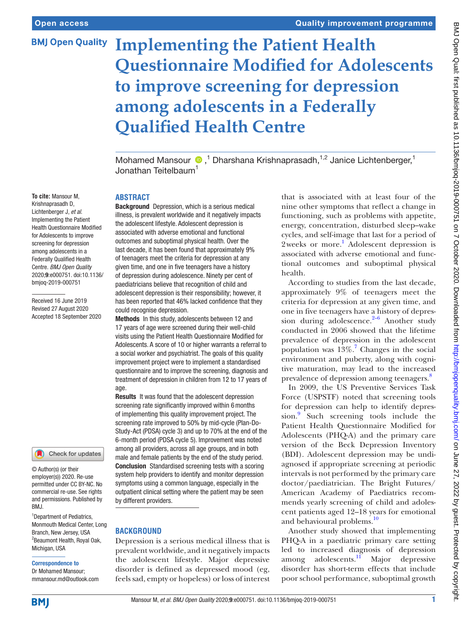# **Implementing the Patient Health Questionnaire Modified for Adolescents to improve screening for depression among adolescents in a Federally Qualified Health Centre**

Mohamed Mansour  $\bigcirc$ ,<sup>1</sup> Dharshana Krishnaprasadh,<sup>1,2</sup> Janice Lichtenberger,<sup>1</sup>  $J$ onathan Teitelbaum $^1$ 

#### **To cite:** Mansour M, Krishnaprasadh D, Lichtenberger J, *et al*. Implementing the Patient Health Questionnaire Modified for Adolescents to improve screening for depression among adolescents in a Federally Qualified Health Centre. *BMJ Open Quality* 2020;9:e000751. doi:10.1136/

Received 16 June 2019 Revised 27 August 2020 Accepted 18 September 2020

bmjoq-2019-000751



© Author(s) (or their employer(s)) 2020. Re-use permitted under CC BY-NC. No commercial re-use. See rights and permissions. Published by BMJ.

1 Department of Pediatrics, Monmouth Medical Center, Long Branch, New Jersey, USA 2 Beaumont Health, Royal Oak, Michigan, USA

#### Correspondence to

Dr Mohamed Mansour; mmansour.md@outlook.com

#### **ABSTRACT**

**Background** Depression, which is a serious medical illness, is prevalent worldwide and it negatively impacts the adolescent lifestyle. Adolescent depression is associated with adverse emotional and functional outcomes and suboptimal physical health. Over the last decade, it has been found that approximately 9% of teenagers meet the criteria for depression at any given time, and one in five teenagers have a history of depression during adolescence. Ninety per cent of paediatricians believe that recognition of child and adolescent depression is their responsibility; however, it has been reported that 46% lacked confidence that they could recognise depression.

Methods In this study, adolescents between 12 and 17 years of age were screened during their well-child visits using the Patient Health Questionnaire Modified for Adolescents. A score of 10 or higher warrants a referral to a social worker and psychiatrist. The goals of this quality improvement project were to implement a standardised questionnaire and to improve the screening, diagnosis and treatment of depression in children from 12 to 17 years of age.

Results It was found that the adolescent depression screening rate significantly improved within 6 months of implementing this quality improvement project. The screening rate improved to 50% by mid-cycle (Plan-Do-Study-Act (PDSA) cycle 3) and up to 70% at the end of the 6-month period (PDSA cycle 5). Improvement was noted among all providers, across all age groups, and in both male and female patients by the end of the study period. Conclusion Standardised screening tests with a scoring system help providers to identify and monitor depression symptoms using a common language, especially in the outpatient clinical setting where the patient may be seen by different providers.

# **BACKGROUND**

Depression is a serious medical illness that is prevalent worldwide, and it negatively impacts the adolescent lifestyle. Major depressive disorder is defined as depressed mood (eg, feels sad, empty or hopeless) or loss of interest

that is associated with at least four of the nine other symptoms that reflect a change in functioning, such as problems with appetite, energy, concentration, disturbed sleep–wake cycles, and self-image that last for a period of 2weeks or more.<sup>1</sup> Adolescent depression is associated with adverse emotional and functional outcomes and suboptimal physical health.

According to studies from the last decade, approximately 9% of teenagers meet the criteria for depression at any given time, and one in five teenagers have a history of depression during adolescence. $2-6$  Another study conducted in 2006 showed that the lifetime prevalence of depression in the adolescent population was  $13\%$ .<sup>7</sup> Changes in the social environment and puberty, along with cognitive maturation, may lead to the increased prevalence of depression among teenagers.<sup>[8](#page-5-3)</sup>

In 2009, the US Preventive Services Task Force (USPSTF) noted that screening tools for depression can help to identify depres-sion.<sup>[9](#page-5-4)</sup> Such screening tools include the Patient Health Questionnaire Modified for Adolescents (PHQ-A) and the primary care version of the Beck Depression Inventory (BDI). Adolescent depression may be undiagnosed if appropriate screening at periodic intervals is not performed by the primary care doctor/paediatrician. The Bright Futures/ American Academy of Paediatrics recommends yearly screening of child and adolescent patients aged 12–18 years for emotional and behavioural problems.<sup>[10](#page-5-5)</sup>

Another study showed that implementing PHQ-A in a paediatric primary care setting led to increased diagnosis of depression among adolescents.<sup>[11](#page-5-6)</sup> Major depressive disorder has short-term effects that include poor school performance, suboptimal growth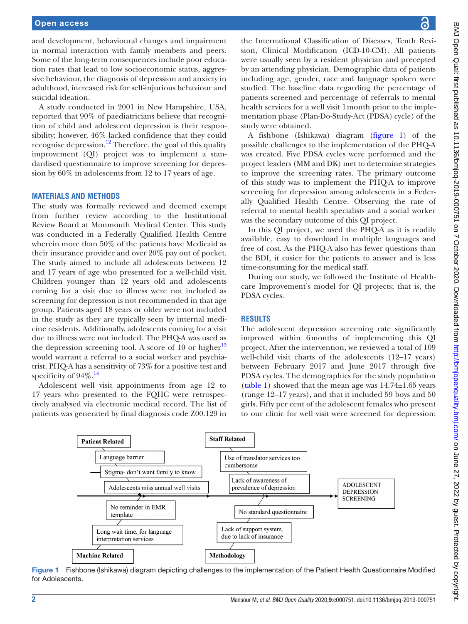and development, behavioural changes and impairment in normal interaction with family members and peers. Some of the long-term consequences include poor education rates that lead to low socioeconomic status, aggressive behaviour, the diagnosis of depression and anxiety in adulthood, increased risk for self-injurious behaviour and suicidal ideation.

A study conducted in 2001 in New Hampshire, USA, reported that 90% of paediatricians believe that recognition of child and adolescent depression is their responsibility; however, 46% lacked confidence that they could recognise depression.[12](#page-5-7) Therefore, the goal of this quality improvement (QI) project was to implement a standardised questionnaire to improve screening for depression by 60% in adolescents from 12 to 17 years of age.

#### **MATERIALS AND METHODS**

The study was formally reviewed and deemed exempt from further review according to the Institutional Review Board at Monmouth Medical Center. This study was conducted in a Federally Qualified Health Centre wherein more than 50% of the patients have Medicaid as their insurance provider and over 20% pay out of pocket. The study aimed to include all adolescents between 12 and 17 years of age who presented for a well-child visit. Children younger than 12 years old and adolescents coming for a visit due to illness were not included as screening for depression is not recommended in that age group. Patients aged 18 years or older were not included in the study as they are typically seen by internal medicine residents. Additionally, adolescents coming for a visit due to illness were not included. The PHQ-A was used as the depression screening tool. A score of 10 or higher<sup>13</sup> would warrant a referral to a social worker and psychiatrist. PHQ-A has a sensitivity of 73% for a positive test and specificity of  $94\%$ .<sup>[14](#page-5-9)</sup>

Adolescent well visit appointments from age 12 to 17 years who presented to the FQHC were retrospectively analysed via electronic medical record. The list of patients was generated by final diagnosis code Z00.129 in

the International Classification of Diseases, Tenth Revision, Clinical Modification (ICD-10-CM). All patients were usually seen by a resident physician and precepted by an attending physician. Demographic data of patients including age, gender, race and language spoken were studied. The baseline data regarding the percentage of patients screened and percentage of referrals to mental health services for a well visit 1month prior to the implementation phase (Plan-Do-Study-Act (PDSA) cycle) of the study were obtained.

A fishbone (Ishikawa) diagram ([figure](#page-1-0) 1) of the possible challenges to the implementation of the PHQ-A was created. Five PDSA cycles were performed and the project leaders (MM and DK) met to determine strategies to improve the screening rates. The primary outcome of this study was to implement the PHQ-A to improve screening for depression among adolescents in a Federally Qualified Health Centre. Observing the rate of referral to mental health specialists and a social worker was the secondary outcome of this QI project.

In this QI project, we used the PHQ-A as it is readily available, easy to download in multiple languages and free of cost. As the PHQ-A also has fewer questions than the BDI, it easier for the patients to answer and is less time-consuming for the medical staff.

During our study, we followed the Institute of Healthcare Improvement's model for QI projects; that is, the PDSA cycles.

# **RESULTS**

The adolescent depression screening rate significantly improved within 6months of implementing this QI project. After the intervention, we reviewed a total of 109 well-child visit charts of the adolescents (12–17 years) between February 2017 and June 2017 through five PDSA cycles. The demographics for the study population [\(table](#page-2-0) 1) showed that the mean age was 14.74±1.65 years (range 12–17 years), and that it included 59 boys and 50 girls. Fifty per cent of the adolescent females who present to our clinic for well visit were screened for depression;



<span id="page-1-0"></span>Figure 1 Fishbone (Ishikawa) diagram depicting challenges to the implementation of the Patient Health Questionnaire Modified for Adolescents.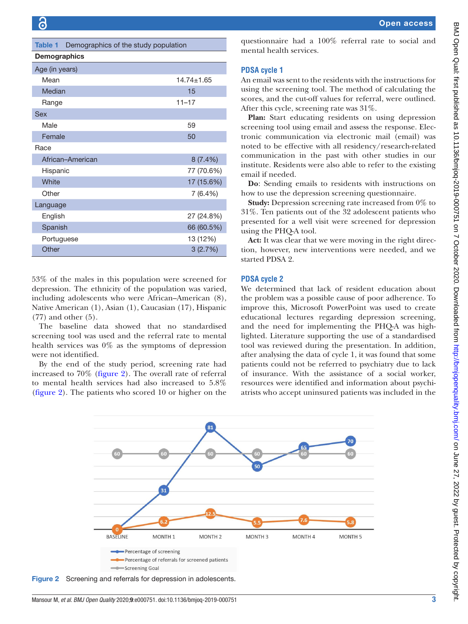<span id="page-2-0"></span>

| <b>Table 1</b><br>Demographics of the study population |                  |
|--------------------------------------------------------|------------------|
| <b>Demographics</b>                                    |                  |
| Age (in years)                                         |                  |
| Mean                                                   | $14.74 \pm 1.65$ |
| Median                                                 | 15               |
| Range                                                  | $11 - 17$        |
| <b>Sex</b>                                             |                  |
| Male                                                   | 59               |
| Female                                                 | 50               |
| Race                                                   |                  |
| African-American                                       | 8(7.4%)          |
| Hispanic                                               | 77 (70.6%)       |
| White                                                  | 17 (15.6%)       |
| Other                                                  | 7(6.4%)          |
| Language                                               |                  |
| English                                                | 27 (24.8%)       |
| Spanish                                                | 66 (60.5%)       |
| Portuguese                                             | 13 (12%)         |
| Other                                                  | 3(2.7%)          |

53% of the males in this population were screened for depression. The ethnicity of the population was varied, including adolescents who were African–American (8), Native American (1), Asian (1), Caucasian (17), Hispanic (77) and other (5).

The baseline data showed that no standardised screening tool was used and the referral rate to mental health services was 0% as the symptoms of depression were not identified.

By the end of the study period, screening rate had increased to 70% ([figure](#page-2-1) 2). The overall rate of referral to mental health services had also increased to 5.8% ([figure](#page-2-1) 2). The patients who scored 10 or higher on the questionnaire had a 100% referral rate to social and mental health services.

# **PDSA cycle 1**

An email was sent to the residents with the instructions for using the screening tool. The method of calculating the scores, and the cut-off values for referral, were outlined. After this cycle, screening rate was 31%.

**Plan:** Start educating residents on using depression screening tool using email and assess the response. Electronic communication via electronic mail (email) was noted to be effective with all residency/research-related communication in the past with other studies in our institute. Residents were also able to refer to the existing email if needed.

**Do**: Sending emails to residents with instructions on how to use the depression screening questionnaire.

**Study:** Depression screening rate increased from 0% to 31%. Ten patients out of the 32 adolescent patients who presented for a well visit were screened for depression using the PHQ-A tool.

**Act:** It was clear that we were moving in the right direction, however, new interventions were needed, and we started PDSA 2.

## **PDSA cycle 2**

We determined that lack of resident education about the problem was a possible cause of poor adherence. To improve this, Microsoft PowerPoint was used to create educational lectures regarding depression screening, and the need for implementing the PHQ-A was highlighted. Literature supporting the use of a standardised tool was reviewed during the presentation. In addition, after analysing the data of cycle 1, it was found that some patients could not be referred to psychiatry due to lack of insurance. With the assistance of a social worker, resources were identified and information about psychiatrists who accept uninsured patients was included in the



<span id="page-2-1"></span>Figure 2 Screening and referrals for depression in adolescents.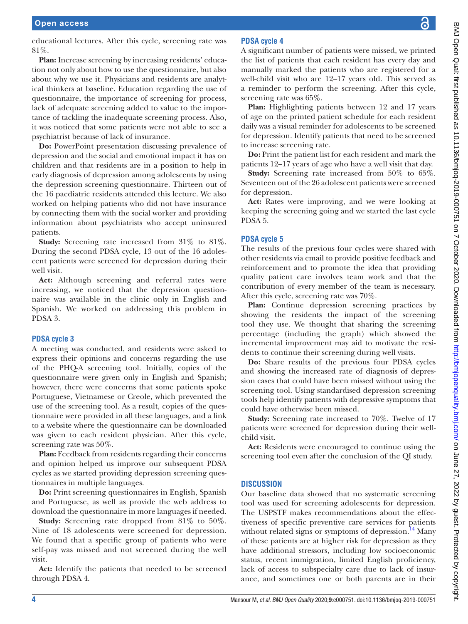educational lectures. After this cycle, screening rate was 81%.

**Plan:** Increase screening by increasing residents' education not only about how to use the questionnaire, but also about why we use it. Physicians and residents are analytical thinkers at baseline. Education regarding the use of questionnaire, the importance of screening for process, lack of adequate screening added to value to the importance of tackling the inadequate screening process. Also, it was noticed that some patients were not able to see a psychiatrist because of lack of insurance.

**Do:** PowerPoint presentation discussing prevalence of depression and the social and emotional impact it has on children and that residents are in a position to help in early diagnosis of depression among adolescents by using the depression screening questionnaire. Thirteen out of the 16 paediatric residents attended this lecture. We also worked on helping patients who did not have insurance by connecting them with the social worker and providing information about psychiatrists who accept uninsured patients.

**Study:** Screening rate increased from 31% to 81%. During the second PDSA cycle, 13 out of the 16 adolescent patients were screened for depression during their well visit.

**Act:** Although screening and referral rates were increasing, we noticed that the depression questionnaire was available in the clinic only in English and Spanish. We worked on addressing this problem in PDSA 3.

## **PDSA cycle 3**

A meeting was conducted, and residents were asked to express their opinions and concerns regarding the use of the PHQ-A screening tool. Initially, copies of the questionnaire were given only in English and Spanish; however, there were concerns that some patients spoke Portuguese, Vietnamese or Creole, which prevented the use of the screening tool. As a result, copies of the questionnaire were provided in all these languages, and a link to a website where the questionnaire can be downloaded was given to each resident physician. After this cycle, screening rate was 50%.

**Plan:** Feedback from residents regarding their concerns and opinion helped us improve our subsequent PDSA cycles as we started providing depression screening questionnaires in multiple languages.

**Do:** Print screening questionnaires in English, Spanish and Portuguese, as well as provide the web address to download the questionnaire in more languages if needed.

**Study:** Screening rate dropped from 81% to 50%. Nine of 18 adolescents were screened for depression. We found that a specific group of patients who were self-pay was missed and not screened during the well visit.

**Act:** Identify the patients that needed to be screened through PDSA 4.

# **PDSA cycle 4**

A significant number of patients were missed, we printed the list of patients that each resident has every day and manually marked the patients who are registered for a well-child visit who are 12–17 years old. This served as a reminder to perform the screening. After this cycle, screening rate was 65%.

**Plan:** Highlighting patients between 12 and 17 years of age on the printed patient schedule for each resident daily was a visual reminder for adolescents to be screened for depression. Identify patients that need to be screened to increase screening rate.

**Do:** Print the patient list for each resident and mark the patients 12–17 years of age who have a well visit that day.

**Study:** Screening rate increased from 50% to 65%. Seventeen out of the 26 adolescent patients were screened for depression.

**Act:** Rates were improving, and we were looking at keeping the screening going and we started the last cycle PDSA 5.

# **PDSA cycle 5**

The results of the previous four cycles were shared with other residents via email to provide positive feedback and reinforcement and to promote the idea that providing quality patient care involves team work and that the contribution of every member of the team is necessary. After this cycle, screening rate was 70%.

**Plan:** Continue depression screening practices by showing the residents the impact of the screening tool they use. We thought that sharing the screening percentage (including the graph) which showed the incremental improvement may aid to motivate the residents to continue their screening during well visits.

**Do:** Share results of the previous four PDSA cycles and showing the increased rate of diagnosis of depression cases that could have been missed without using the screening tool. Using standardised depression screening tools help identify patients with depressive symptoms that could have otherwise been missed.

**Study:** Screening rate increased to 70%. Twelve of 17 patients were screened for depression during their wellchild visit.

**Act:** Residents were encouraged to continue using the screening tool even after the conclusion of the QI study.

# **DISCUSSION**

Our baseline data showed that no systematic screening tool was used for screening adolescents for depression. The USPSTF makes recommendations about the effectiveness of specific preventive care services for patients without related signs or symptoms of depression.<sup>14</sup> Many of these patients are at higher risk for depression as they have additional stressors, including low socioeconomic status, recent immigration, limited English proficiency, lack of access to subspecialty care due to lack of insurance, and sometimes one or both parents are in their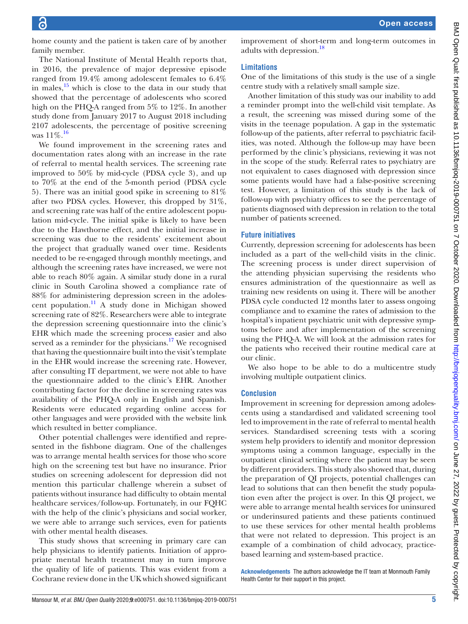home county and the patient is taken care of by another family member.

The National Institute of Mental Health reports that, in 2016, the prevalence of major depressive episode ranged from 19.4% among adolescent females to 6.4% in males, $15$  which is close to the data in our study that showed that the percentage of adolescents who scored high on the PHQ-A ranged from 5% to 12%. In another study done from January 2017 to August 2018 including 2107 adolescents, the percentage of positive screening was  $11\%$ <sup>[16](#page-5-11)</sup>

We found improvement in the screening rates and documentation rates along with an increase in the rate of referral to mental health services. The screening rate improved to 50% by mid-cycle (PDSA cycle 3), and up to 70% at the end of the 5-month period (PDSA cycle 5). There was an initial good spike in screening to 81% after two PDSA cycles. However, this dropped by 31%, and screening rate was half of the entire adolescent population mid-cycle. The initial spike is likely to have been due to the Hawthorne effect, and the initial increase in screening was due to the residents' excitement about the project that gradually waned over time. Residents needed to be re-engaged through monthly meetings, and although the screening rates have increased, we were not able to reach 80% again. A similar study done in a rural clinic in South Carolina showed a compliance rate of 88% for administering depression screen in the adolescent population.<sup>11</sup> A study done in Michigan showed screening rate of 82%. Researchers were able to integrate the depression screening questionnaire into the clinic's EHR which made the screening process easier and also served as a reminder for the physicians. $17$  We recognised that having the questionnaire built into the visit's template in the EHR would increase the screening rate. However, after consulting IT department, we were not able to have the questionnaire added to the clinic's EHR. Another contributing factor for the decline in screening rates was availability of the PHQ-A only in English and Spanish. Residents were educated regarding online access for other languages and were provided with the website link which resulted in better compliance.

Other potential challenges were identified and represented in the fishbone diagram. One of the challenges was to arrange mental health services for those who score high on the screening test but have no insurance. Prior studies on screening adolescent for depression did not mention this particular challenge wherein a subset of patients without insurance had difficulty to obtain mental healthcare services/follow-up. Fortunately, in our FQHC with the help of the clinic's physicians and social worker, we were able to arrange such services, even for patients with other mental health diseases.

This study shows that screening in primary care can help physicians to identify patients. Initiation of appropriate mental health treatment may in turn improve the quality of life of patients. This was evident from a Cochrane review done in the UK which showed significant

improvement of short-term and long-term outcomes in adults with depression.<sup>[18](#page-5-13)</sup>

## **Limitations**

One of the limitations of this study is the use of a single centre study with a relatively small sample size.

Another limitation of this study was our inability to add a reminder prompt into the well-child visit template. As a result, the screening was missed during some of the visits in the teenage population. A gap in the systematic follow-up of the patients, after referral to psychiatric facilities, was noted. Although the follow-up may have been performed by the clinic's physicians, reviewing it was not in the scope of the study. Referral rates to psychiatry are not equivalent to cases diagnosed with depression since some patients would have had a false-positive screening test. However, a limitation of this study is the lack of follow-up with psychiatry offices to see the percentage of patients diagnosed with depression in relation to the total number of patients screened.

## **Future initiatives**

Currently, depression screening for adolescents has been included as a part of the well-child visits in the clinic. The screening process is under direct supervision of the attending physician supervising the residents who ensures administration of the questionnaire as well as training new residents on using it. There will be another PDSA cycle conducted 12 months later to assess ongoing compliance and to examine the rates of admission to the hospital's inpatient psychiatric unit with depressive symptoms before and after implementation of the screening using the PHQ-A. We will look at the admission rates for the patients who received their routine medical care at our clinic.

We also hope to be able to do a multicentre study involving multiple outpatient clinics.

## **Conclusion**

Improvement in screening for depression among adolescents using a standardised and validated screening tool led to improvement in the rate of referral to mental health services. Standardised screening tests with a scoring system help providers to identify and monitor depression symptoms using a common language, especially in the outpatient clinical setting where the patient may be seen by different providers. This study also showed that, during the preparation of QI projects, potential challenges can lead to solutions that can then benefit the study population even after the project is over. In this QI project, we were able to arrange mental health services for uninsured or underinsured patients and these patients continued to use these services for other mental health problems that were not related to depression. This project is an example of a combination of child advocacy, practicebased learning and system-based practice.

Acknowledgements The authors acknowledge the IT team at Monmouth Family Health Center for their support in this project.